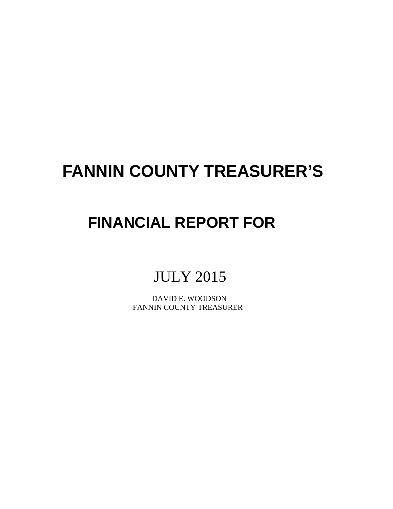# **FANNIN COUNTY TREASURER'S**

## **FINANCIAL REPORT FOR**

### JULY 2015

 DAVID E. WOODSON FANNIN COUNTY TREASURER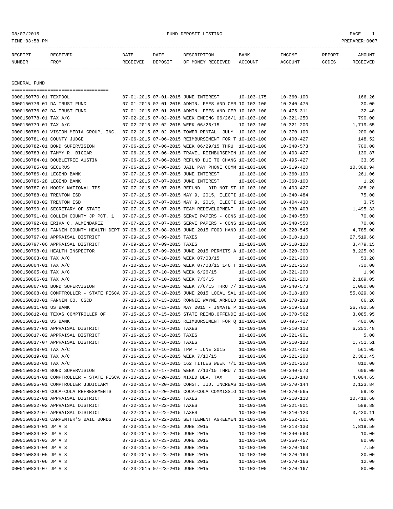#### 08/07/2015 FUND DEPOSIT LISTING PAGE 1

| RECEIPT | RECEIVED | DATE     | DATE    | DESCRIPTION       | <b>BANK</b> | INCOME  | <b>REPORT</b> | AMOUNT          |
|---------|----------|----------|---------|-------------------|-------------|---------|---------------|-----------------|
| NUMBER  | FROM     | RECEIVED | DEPOSIT | OF MONEY RECEIVED | ACCOUNT     | ACCOUNT | CODES         | <b>RECEIVED</b> |
|         |          |          |         |                   |             |         |               |                 |

GENERAL FUND

|                             | =====================================                                                        |                                 |                                                      |                                      |                                      |                   |
|-----------------------------|----------------------------------------------------------------------------------------------|---------------------------------|------------------------------------------------------|--------------------------------------|--------------------------------------|-------------------|
| 0000150770-01 TEXPOOL       |                                                                                              |                                 | 07-01-2015 07-01-2015 JUNE INTEREST                  | $10 - 103 - 175$                     | $10 - 360 - 100$                     | 166.26            |
|                             | 0000150776-01 DA TRUST FUND                                                                  |                                 | 07-01-2015 07-01-2015 ADMIN. FEES AND CER 10-103-100 |                                      | $10 - 340 - 475$                     | 30.00             |
| 0000150776-02 DA TRUST FUND |                                                                                              |                                 | 07-01-2015 07-01-2015 ADMIN. FEES AND CER 10-103-100 |                                      | $10 - 475 - 311$                     | 32.40             |
| 0000150778-01 TAX A/C       |                                                                                              |                                 | 07-02-2015 07-02-2015 WEEK ENDING 06/26/1 10-103-100 |                                      | $10 - 321 - 250$                     | 790.00            |
| 0000150779-01 TAX A/C       |                                                                                              |                                 | 07-02-2015 07-02-2015 WEEK 06/26/15                  | 10-103-100                           | $10 - 321 - 200$                     | 1,719.65          |
|                             | 0000150780-01 VISION MEDIA GROUP, INC.                                                       |                                 | 07-02-2015 07-02-2015 TOWER RENTAL- JULY 10-103-100  |                                      | $10 - 370 - 100$                     | 200.00            |
| 0000150781-01 COUNTY JUDGE  |                                                                                              |                                 | 07-06-2015 07-06-2015 REIMBURSEMENT FOR T 10-103-100 |                                      | $10 - 400 - 427$                     | 148.52            |
|                             | 0000150782-01 BOND SUPERVISION                                                               |                                 | 07-06-2015 07-06-2015 WEEK 06/29/15 THRU 10-103-100  |                                      | $10 - 340 - 573$                     | 700.00            |
|                             | 0000150783-01 TAMMY R. BIGGAR                                                                |                                 | 07-06-2015 07-06-2015 TRAVEL REIMBURSEMEN 10-103-100 |                                      | $10 - 403 - 427$                     | 130.87            |
|                             | 0000150784-01 DOUBLETREE AUSTIN                                                              |                                 | 07-06-2015 07-06-2015 REFUND DUE TO CHANG 10-103-100 |                                      | $10 - 495 - 427$                     | 33.35             |
| 0000150785-01 SECURUS       |                                                                                              |                                 | 07-06-2015 07-06-2015 JAIL PAY PHONE COMM 10-103-100 |                                      | $10 - 319 - 420$                     | 10,308.94         |
| 0000150786-01 LEGEND BANK   |                                                                                              |                                 | 07-07-2015 07-07-2015 JUNE INTEREST                  | $10 - 103 - 100$                     | $10 - 360 - 100$                     | 261.06            |
| 0000150786-28 LEGEND BANK   |                                                                                              |                                 | 07-07-2015 07-07-2015 JUNE INTEREST                  | $10 - 100 - 100$                     | $10 - 360 - 100$                     | 1.20              |
|                             | 0000150787-01 MOODY NATIONAL TPS                                                             |                                 | 07-07-2015 07-07-2015 REFUND - DID NOT ST 10-103-100 |                                      | $10 - 403 - 427$                     | 308.20            |
| 0000150788-01 TRENTON ISD   |                                                                                              |                                 | 07-07-2015 07-07-2015 MAY 9, 2015, ELECTI 10-103-100 |                                      | $10 - 340 - 484$                     | 75.00             |
| 0000150788-02 TRENTON ISD   |                                                                                              |                                 | 07-07-2015 07-07-2015 MAY 9, 2015, ELECTI 10-103-100 |                                      | $10 - 404 - 430$                     | 3.75              |
|                             | 0000150790-01 SECRETARY OF STATE                                                             |                                 | 07-07-2015 07-07-2015 TEAM REDEVELOPMENT 10-103-100  |                                      | $10 - 330 - 403$                     | 1,495.33          |
|                             | 0000150791-01 COLLIN COUNTY JP PCT. 1                                                        |                                 | 07-07-2015 07-07-2015 SERVE PAPERS - CONS 10-103-100 |                                      | $10 - 340 - 550$                     | 70.00             |
|                             | 0000150792-01 ERIKA C. ALMENDAREZ                                                            |                                 | 07-07-2015 07-07-2015 SERVE PAPERS - CONS 10-103-100 |                                      | $10 - 340 - 550$                     | 70.00             |
|                             | 0000150795-01 FANNIN COUNTY HEALTH DEPT 07-08-2015 07-08-2015 JUNE 2015 FOOD HAND 10-103-100 |                                 |                                                      |                                      | $10 - 320 - 545$                     | 4,785.00          |
|                             | 0000150797-01 APPRAISAL DISTRICT                                                             | 07-09-2015 07-09-2015 TAXES     |                                                      | $10 - 103 - 100$                     | $10 - 310 - 110$                     | 27,519.68         |
|                             | 0000150797-06 APPRAISAL DISTRICT                                                             | 07-09-2015 07-09-2015 TAXES     |                                                      | $10 - 103 - 100$                     | $10 - 310 - 120$                     | 3,479.15          |
|                             | 0000150798-01 HEALTH INSPECTOR                                                               |                                 | 07-09-2015 07-09-2015 JUNE 2015 PERMITS A 10-103-100 |                                      | $10 - 320 - 300$                     | 8,225.03          |
| 0000150803-01 TAX A/C       |                                                                                              |                                 | 07-10-2015 07-10-2015 WEEK 07/03/15                  | $10 - 103 - 100$                     | $10 - 321 - 200$                     | 53.20             |
| 0000150804-01 TAX A/C       |                                                                                              |                                 | 07-10-2015 07-10-2015 WEEK 07/03/15 146 T 10-103-100 |                                      | $10 - 321 - 250$                     | 730.00            |
| 0000150805-01 TAX A/C       |                                                                                              |                                 | 07-10-2015 07-10-2015 WEEK 6/26/15                   | 10-103-100                           | $10 - 321 - 200$                     | 1.90              |
| 0000150806-01 TAX A/C       |                                                                                              |                                 | 07-10-2015 07-10-2015 WEEK 7/3/15                    | $10 - 103 - 100$                     | $10 - 321 - 200$                     | 2,169.05          |
|                             | 0000150807-01 BOND SUPERVISION                                                               |                                 | 07-10-2015 07-10-2015 WEEK 7/6/15 THRU 7/ 10-103-100 |                                      | $10 - 340 - 573$                     | 1,000.00          |
|                             | 0000150808-01 COMPTROLLER - STATE FISCA 07-10-2015 07-10-2015 JUNE 2015 LOCAL SAL 10-103-100 |                                 |                                                      |                                      | $10 - 318 - 160$                     | 55,829.30         |
|                             | 0000150810-01 FANNIN CO. CSCD                                                                |                                 | 07-13-2015 07-13-2015 RONNIE WAYNE ARNOLD 10-103-100 |                                      | $10 - 370 - 130$                     | 66.26             |
| 0000150811-01 US BANK       |                                                                                              |                                 | 07-13-2015 07-13-2015 MAY 2015 - INMATE P 10-103-100 |                                      | $10 - 319 - 553$                     | 26,702.50         |
|                             | 0000150812-01 TEXAS COMPTROLLER OF                                                           |                                 | 07-15-2015 07-15-2015 STATE REIMB.OFFENDE 10-103-100 |                                      | $10 - 370 - 562$                     | 3,085.95          |
| 0000150815-01 US BANK       |                                                                                              |                                 | 07-16-2015 07-16-2015 REIMBURSEMENT FOR O 10-103-100 |                                      | $10 - 495 - 427$                     | 400.00            |
|                             | 0000150817-01 APPRAISAL DISTRICT                                                             | 07-16-2015 07-16-2015 TAXES     |                                                      | $10 - 103 - 100$                     | $10 - 310 - 110$                     | 6,251.48          |
|                             | 0000150817-02 APPRAISAL DISTRICT                                                             | 07-16-2015 07-16-2015 TAXES     |                                                      | 10-103-100                           | $10 - 321 - 901$                     | 5.00              |
|                             | 0000150817-07 APPRAISAL DISTRICT                                                             | 07-16-2015 07-16-2015 TAXES     |                                                      | $10 - 103 - 100$                     | $10 - 310 - 120$                     | 1,751.51          |
| 0000150818-01 TAX A/C       |                                                                                              |                                 | 07-16-2015 07-16-2015 TPW - JUNE 2015                | $10 - 103 - 100$                     | $10 - 321 - 400$                     | 561.05            |
| 0000150819-01 TAX A/C       |                                                                                              |                                 | 07-16-2015 07-16-2015 WEEK 7/10/15                   | 10-103-100                           | $10 - 321 - 200$                     | 2,381.45          |
| 0000150820-01 TAX A/C       |                                                                                              |                                 | 07-16-2015 07-16-2015 162 TITLES WEEK 7/1 10-103-100 |                                      | $10 - 321 - 250$                     | 810.00            |
|                             | 0000150823-01 BOND SUPERVISION                                                               |                                 | 07-17-2015 07-17-2015 WEEK 7/13/15 THRU 7 10-103-100 |                                      | $10 - 340 - 573$                     | 606.00            |
|                             | 0000150824-01 COMPTROLLER - STATE FISCA 07-20-2015 07-20-2015 MIXED BEV. TAX                 |                                 |                                                      | $10 - 103 - 100$                     | $10 - 318 - 140$                     | 4,004.65          |
|                             | 0000150825-01 COMPTROLLER JUDICIARY                                                          |                                 | 07-20-2015 07-20-2015 CONST. JUD. INCREAS 10-103-100 |                                      | $10 - 370 - 144$                     | 2,123.84          |
|                             | 0000150828-01 COCA-COLA REFRESHMENTS                                                         |                                 | 07-20-2015 07-20-2015 COCA-COLA COMMISSIO 10-103-100 |                                      | $10 - 370 - 565$                     | 59.92             |
|                             | 0000150832-01 APPRAISAL DISTRICT                                                             | 07-22-2015 07-22-2015 TAXES     |                                                      | $10 - 103 - 100$                     | $10 - 310 - 110$                     | 10,418.60         |
|                             | 0000150832-02 APPRAISAL DISTRICT                                                             | 07-22-2015 07-22-2015 TAXES     |                                                      | $10 - 103 - 100$                     | $10 - 321 - 901$                     | 589.88            |
|                             | 0000150832-07 APPRAISAL DISTRICT                                                             | 07-22-2015 07-22-2015 TAXES     |                                                      | $10 - 103 - 100$                     | 10-310-120                           | 3,420.11          |
|                             | 0000150833-01 CARPENTER'S BAIL BONDS                                                         |                                 | 07-22-2015 07-22-2015 SETTLEMENT AGREEMEN 10-103-100 |                                      | $10 - 352 - 201$                     | 700.00            |
| 0000150834-01 JP # 3        |                                                                                              | 07-23-2015 07-23-2015 JUNE 2015 |                                                      |                                      |                                      |                   |
| 0000150834-02 JP # 3        |                                                                                              | 07-23-2015 07-23-2015 JUNE 2015 |                                                      | $10 - 103 - 100$<br>$10 - 103 - 100$ | $10 - 318 - 130$<br>$10 - 340 - 560$ | 1,819.50<br>10.00 |
| 0000150834-03 JP # 3        |                                                                                              | 07-23-2015 07-23-2015 JUNE 2015 |                                                      |                                      | $10 - 350 - 457$                     | 80.00             |
|                             |                                                                                              |                                 |                                                      | $10 - 103 - 100$                     |                                      |                   |
| 0000150834-04 JP # 3        |                                                                                              | 07-23-2015 07-23-2015 JUNE 2015 |                                                      | $10 - 103 - 100$                     | $10 - 370 - 163$<br>$10 - 370 - 164$ | 7.50              |
| 0000150834-05 JP # 3        |                                                                                              | 07-23-2015 07-23-2015 JUNE 2015 |                                                      | $10 - 103 - 100$                     |                                      | 30.00             |
| 0000150834-06 JP # 3        |                                                                                              | 07-23-2015 07-23-2015 JUNE 2015 |                                                      | $10 - 103 - 100$                     | $10 - 370 - 166$                     | 12.00             |
| 0000150834-07 JP # 3        |                                                                                              | 07-23-2015 07-23-2015 JUNE 2015 |                                                      | $10 - 103 - 100$                     | $10 - 370 - 167$                     | 80.00             |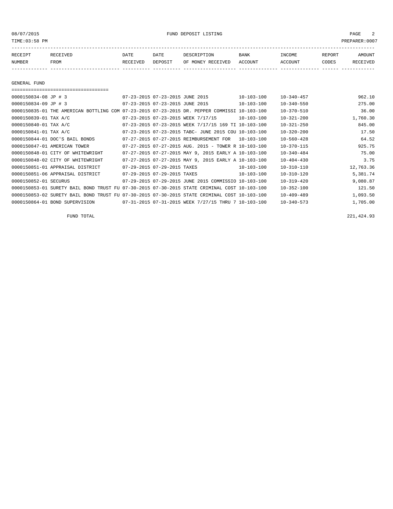08/07/2015 FUND DEPOSIT LISTING PAGE 2

| RECEIPT | RECEIVED | DATE     | DATE    | DESCRIPTION       | <b>BANK</b> | INCOME  | REPORT | AMOUNT   |
|---------|----------|----------|---------|-------------------|-------------|---------|--------|----------|
| NUMBER  | FROM     | RECEIVED | DEPOSIT | OF MONEY RECEIVED | ACCOUNT     | ACCOUNT | CODES  | RECEIVED |
|         |          |          |         |                   |             |         |        |          |

GENERAL FUND

| 0000150834-08 JP # 3  |                                                                                              | 07-23-2015 07-23-2015 JUNE 2015 |                                 |                                                          | $10 - 103 - 100$ | $10 - 340 - 457$ | 962.10    |
|-----------------------|----------------------------------------------------------------------------------------------|---------------------------------|---------------------------------|----------------------------------------------------------|------------------|------------------|-----------|
| 0000150834-09 JP # 3  |                                                                                              |                                 | 07-23-2015 07-23-2015 JUNE 2015 |                                                          | $10 - 103 - 100$ | $10 - 340 - 550$ | 275.00    |
|                       | 0000150835-01 THE AMERICAN BOTTLING COM 07-23-2015 07-23-2015 DR. PEPPER COMMISSI 10-103-100 |                                 |                                 |                                                          |                  | $10 - 370 - 510$ | 36.00     |
| 0000150839-01 TAX A/C |                                                                                              |                                 |                                 | 07-23-2015 07-23-2015 WEEK 7/17/15                       | $10 - 103 - 100$ | $10 - 321 - 200$ | 1,760.30  |
| 0000150840-01 TAX A/C |                                                                                              |                                 |                                 | 07-23-2015 07-23-2015 WEEK 7/17/15 169 TI 10-103-100     |                  | $10 - 321 - 250$ | 845.00    |
| 0000150841-01 TAX A/C |                                                                                              |                                 |                                 | 07-23-2015 07-23-2015 TABC- JUNE 2015 COU 10-103-100     |                  | $10 - 320 - 200$ | 17.50     |
|                       | 0000150844-01 DOC'S BAIL BONDS                                                               |                                 |                                 | 07-27-2015 07-27-2015 REIMBURSEMENT FOR                  | 10-103-100       | $10 - 560 - 428$ | 64.52     |
|                       | 0000150847-01 AMERICAN TOWER                                                                 |                                 |                                 | $07-27-2015$ $07-27-2015$ AUG. 2015 - TOWER R 10-103-100 |                  | $10 - 370 - 115$ | 925.75    |
|                       | 0000150848-01 CITY OF WHITEWRIGHT                                                            |                                 |                                 | 07-27-2015 07-27-2015 MAY 9, 2015 EARLY A 10-103-100     |                  | $10 - 340 - 484$ | 75.00     |
|                       | 0000150848-02 CITY OF WHITEWRIGHT                                                            |                                 |                                 | 07-27-2015 07-27-2015 MAY 9, 2015 EARLY A 10-103-100     |                  | $10 - 404 - 430$ | 3.75      |
|                       | 0000150851-01 APPRAISAL DISTRICT                                                             |                                 | 07-29-2015 07-29-2015 TAXES     |                                                          | $10 - 103 - 100$ | $10 - 310 - 110$ | 12,763.36 |
|                       | 0000150851-06 APPRAISAL DISTRICT                                                             |                                 | 07-29-2015 07-29-2015 TAXES     |                                                          | $10 - 103 - 100$ | $10 - 310 - 120$ | 5,381.74  |
| 0000150852-01 SECURUS |                                                                                              |                                 |                                 | 07-29-2015 07-29-2015 JUNE 2015 COMMISSIO 10-103-100     |                  | $10 - 319 - 420$ | 9,080.87  |
|                       | 0000150853-01 SURETY BAIL BOND TRUST FU 07-30-2015 07-30-2015 STATE CRIMINAL COST 10-103-100 |                                 |                                 |                                                          |                  | $10 - 352 - 100$ | 121.50    |
|                       | 0000150853-02 SURETY BAIL BOND TRUST FU 07-30-2015 07-30-2015 STATE CRIMINAL COST 10-103-100 |                                 |                                 |                                                          |                  | $10 - 409 - 489$ | 1,093.50  |
|                       | 0000150864-01 BOND SUPERVISION                                                               |                                 |                                 | 07-31-2015 07-31-2015 WEEK 7/27/15 THRU 7 10-103-100     |                  | $10 - 340 - 573$ | 1,705.00  |

FUND TOTAL 221,424.93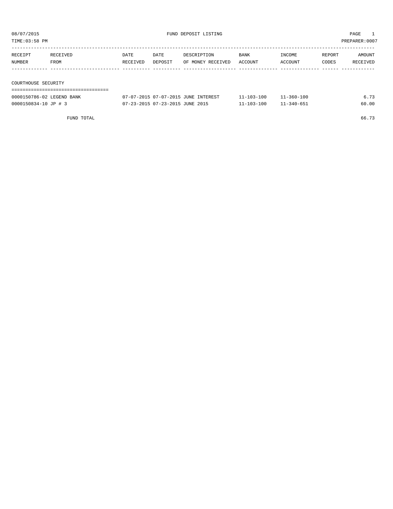TIME:03:58 PM PREPARER:0007

| RECEIPT             | RECEIVED | DATE     | DATE    | DESCRIPTION       | BANK    | INCOME  | REPORT | AMOUNT   |
|---------------------|----------|----------|---------|-------------------|---------|---------|--------|----------|
| NUMBER              | FROM     | RECEIVED | DEPOSIT | OF MONEY RECEIVED | ACCOUNT | ACCOUNT | CODES  | RECEIVED |
|                     |          |          |         |                   |         |         |        |          |
|                     |          |          |         |                   |         |         |        |          |
| COURTHOUSE SECURITY |          |          |         |                   |         |         |        |          |

| 0000150786-02 LEGEND BANK | 07-07-2015 07-07-2015 JUNE INTEREST | 11-103-100       | $11 - 360 - 100$ | 6 73  |
|---------------------------|-------------------------------------|------------------|------------------|-------|
| 0000150834-10 JP # 3      | 07-23-2015 07-23-2015 JUNE 2015     | $11 - 103 - 100$ | $11 - 340 - 651$ | 60.00 |

FUND TOTAL 66.73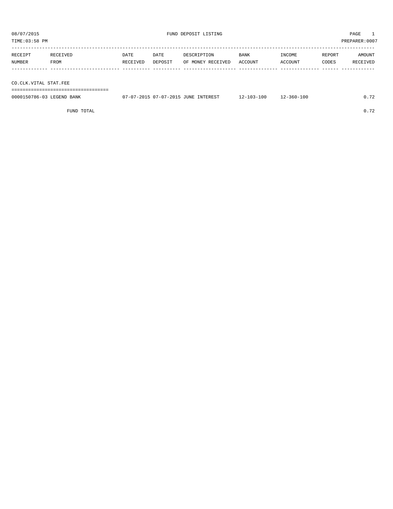| RECEIPT | RECEIVED | <b>DATE</b> | DATE    | DESCRIPTION       | BANK    | INCOME  | REPORT | AMOUNT   |
|---------|----------|-------------|---------|-------------------|---------|---------|--------|----------|
| NUMBER  | FROM     | RECEIVED    | DEPOSIT | OF MONEY RECEIVED | ACCOUNT | ACCOUNT | CODES  | RECEIVED |
|         |          |             |         |                   |         |         |        |          |
|         |          |             |         |                   |         |         |        |          |
|         |          |             |         |                   |         |         |        |          |

CO.CLK.VITAL STAT.FEE

===================================

| 0000150786-03 LEGEND BANK | 07-07-2015 07-07-2015 JUNE INTEREST | 12-103-100 | $12 - 360 - 100$ | 0.72 |
|---------------------------|-------------------------------------|------------|------------------|------|
|                           |                                     |            |                  |      |

FUND TOTAL 0.72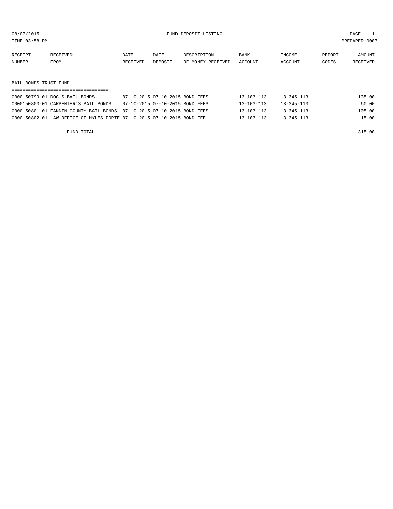TIME:03:58 PM PREPARER:0007

| RECEIPT | RECEIVED    | DATE     | DATE    | DESCRIPTION       | <b>BANK</b> | INCOME  | REPORT | AMOUNT          |
|---------|-------------|----------|---------|-------------------|-------------|---------|--------|-----------------|
| NUMBER  | <b>FROM</b> | RECEIVED | DEPOSIT | OF MONEY RECEIVED | ACCOUNT     | ACCOUNT | CODES  | <b>RECEIVED</b> |
|         |             |          |         |                   |             |         |        |                 |

BAIL BONDS TRUST FUND

| 0000150799-01 DOC'S BAIL BONDS                                         | 07-10-2015 07-10-2015 BOND FEES | 13-103-113       | $13 - 345 - 113$ | 135.00 |
|------------------------------------------------------------------------|---------------------------------|------------------|------------------|--------|
| 0000150800-01 CARPENTER'S BAIL BONDS                                   | 07-10-2015 07-10-2015 BOND FEES | 13-103-113       | $13 - 345 - 113$ | 60.00  |
| 0000150801-01 FANNIN COUNTY BAIL BONDS 07-10-2015 07-10-2015 BOND FEES |                                 | $13 - 103 - 113$ | $13 - 345 - 113$ | 105.00 |
| 0000150802-01 LAW OFFICE OF MYLES PORTE 07-10-2015 07-10-2015 BOND FEE |                                 | $13 - 103 - 113$ | $13 - 345 - 113$ | 15.00  |

FUND TOTAL 315.00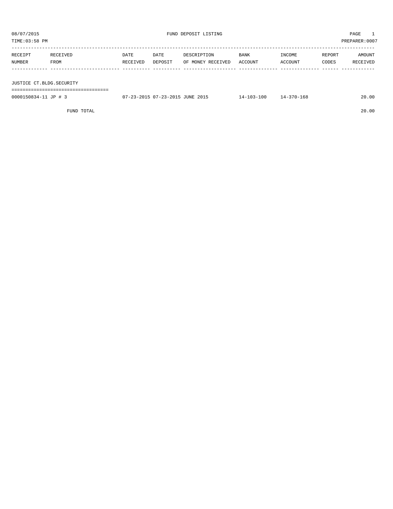| PREPARER: 0007<br>TIME:03:58 PM |                  |                  |                 |                                  |                 |                   |                 |                    |
|---------------------------------|------------------|------------------|-----------------|----------------------------------|-----------------|-------------------|-----------------|--------------------|
| RECEIPT<br>NUMBER               | RECEIVED<br>FROM | DATE<br>RECEIVED | DATE<br>DEPOSIT | DESCRIPTION<br>OF MONEY RECEIVED | BANK<br>ACCOUNT | INCOME<br>ACCOUNT | REPORT<br>CODES | AMOUNT<br>RECEIVED |
|                                 |                  |                  |                 |                                  |                 |                   |                 |                    |

JUSTICE CT.BLDG.SECURITY

===================================

0000150834-11 JP # 3 07-23-2015 07-23-2015 JUNE 2015 14-103-100 14-370-168 20.00

FUND TOTAL 20.00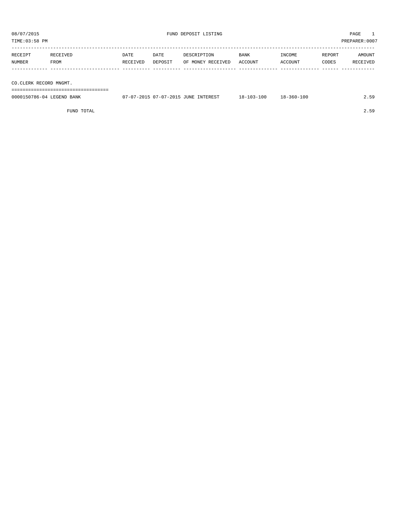TIME:03:58 PM PREPARER:0007

| RECEIPT                | RECEIVED | DATE     | DATE    | DESCRIPTION       | BANK    | INCOME  | REPORT | AMOUNT   |
|------------------------|----------|----------|---------|-------------------|---------|---------|--------|----------|
| NUMBER                 | FROM     | RECEIVED | DEPOSIT | OF MONEY RECEIVED | ACCOUNT | ACCOUNT | CODES  | RECEIVED |
|                        |          |          |         |                   |         |         |        |          |
|                        |          |          |         |                   |         |         |        |          |
| CO.CLERK RECORD MNGMT. |          |          |         |                   |         |         |        |          |

===================================

| 0000150786-04 LEGEND<br>BANK | 07-07-2015 07-07-2015 u<br>INTEREST<br><b>JUNE</b> | $8 - 103 - 1$ | 18-360-100 |  |
|------------------------------|----------------------------------------------------|---------------|------------|--|
|                              |                                                    |               |            |  |

FUND TOTAL 2.59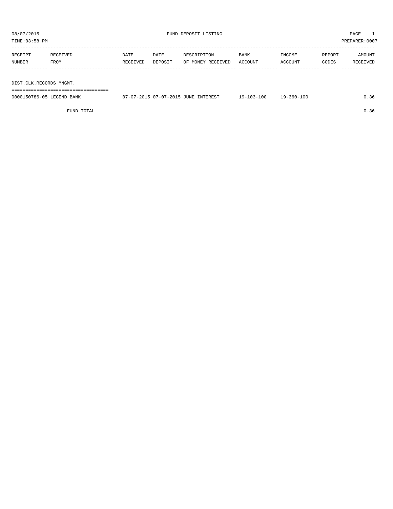TIME:03:58 PM PREPARER:0007

| RECEIPT | RECEIVED | DATE     | DATE    | DESCRIPTION       | BANK    | INCOME  | REPORT | AMOUNT   |
|---------|----------|----------|---------|-------------------|---------|---------|--------|----------|
| NUMBER  | FROM     | RECEIVED | DEPOSIT | OF MONEY RECEIVED | ACCOUNT | ACCOUNT | CODES  | RECEIVED |
|         |          |          |         |                   |         |         |        |          |
|         |          |          |         |                   |         |         |        |          |

DIST.CLK.RECORDS MNGMT.

===================================

| 0000150786-05<br>LEGEND<br><b>BANK</b> | $07 - 07 - 201$<br><b>JUNE</b><br>$1 - 0^{-7}$<br><b>TNTERFST</b><br>$1.7 - 201$<br><u>. .</u> | 100<br>$19-$ | 100<br>$-560 - 1$ | 50. ب |
|----------------------------------------|------------------------------------------------------------------------------------------------|--------------|-------------------|-------|
|                                        |                                                                                                |              |                   |       |

FUND TOTAL  $0.36$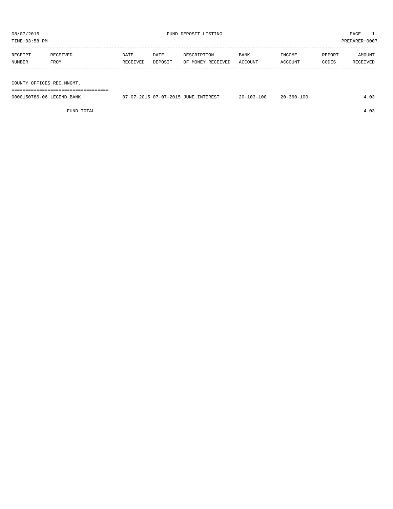| TIME:03:58 PM     |                           |                  |                 |                                  |                 |                   |                 | PREPARER: 0007     |  |
|-------------------|---------------------------|------------------|-----------------|----------------------------------|-----------------|-------------------|-----------------|--------------------|--|
| RECEIPT<br>NUMBER | RECEIVED<br>FROM          | DATE<br>RECEIVED | DATE<br>DEPOSIT | DESCRIPTION<br>OF MONEY RECEIVED | BANK<br>ACCOUNT | INCOME<br>ACCOUNT | REPORT<br>CODES | AMOUNT<br>RECEIVED |  |
|                   |                           |                  |                 |                                  |                 |                   |                 |                    |  |
|                   | COUNTY OFFICES REC.MNGMT. |                  |                 |                                  |                 |                   |                 |                    |  |

===================================

| 0000150786-06 LEGEND<br>BANK | $U$ / - 07 - 2015<br><b>JUNE</b><br>INTEREST<br>zu. | nr<br>つ ハ ー | $360 - 100$<br>$\sim$<br>$2.0 -$ |  |
|------------------------------|-----------------------------------------------------|-------------|----------------------------------|--|
|                              |                                                     |             |                                  |  |

FUND TOTAL 4.03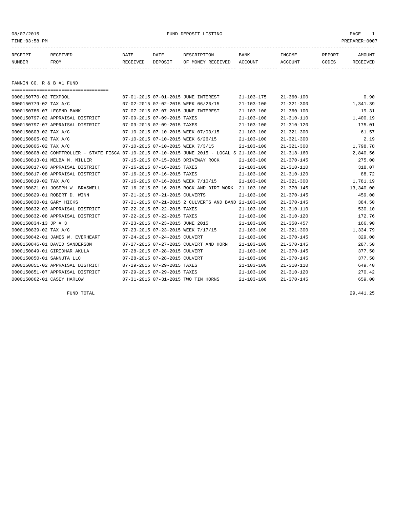#### 08/07/2015 FUND DEPOSIT LISTING PAGE 1

| RECEIPT | RECEIVED | DATE     | DATE    | DESCRIPTION               | <b>BANK</b> | <b>TNCOME</b>  | REPORT | AMOUNT   |
|---------|----------|----------|---------|---------------------------|-------------|----------------|--------|----------|
| NUMBER  | FROM     | RECEIVED | DEPOSIT | OF MONEY RECEIVED ACCOUNT |             | <b>ACCOUNT</b> | CODES  | RECEIVED |
|         |          |          |         |                           |             |                |        |          |

FANNIN CO. R & B #1 FUND

| =====================================                                                        |                                 |                             |                                                      |                  |                  |           |
|----------------------------------------------------------------------------------------------|---------------------------------|-----------------------------|------------------------------------------------------|------------------|------------------|-----------|
| 0000150770-02 TEXPOOL                                                                        |                                 |                             | 07-01-2015 07-01-2015 JUNE INTEREST                  | $21 - 103 - 175$ | $21 - 360 - 100$ | 0.90      |
| 0000150779-02 TAX A/C                                                                        |                                 |                             | 07-02-2015 07-02-2015 WEEK 06/26/15                  | $21 - 103 - 100$ | $21 - 321 - 300$ | 1,341.39  |
| 0000150786-07 LEGEND BANK                                                                    |                                 |                             | 07-07-2015 07-07-2015 JUNE INTEREST                  | $21 - 103 - 100$ | $21 - 360 - 100$ | 19.31     |
| 0000150797-02 APPRAISAL DISTRICT                                                             | 07-09-2015 07-09-2015 TAXES     |                             |                                                      | $21 - 103 - 100$ | $21 - 310 - 110$ | 1,400.19  |
| 0000150797-07 APPRAISAL DISTRICT                                                             | 07-09-2015 07-09-2015 TAXES     |                             |                                                      | $21 - 103 - 100$ | $21 - 310 - 120$ | 175.01    |
| 0000150803-02 TAX A/C                                                                        |                                 |                             | 07-10-2015 07-10-2015 WEEK 07/03/15                  | $21 - 103 - 100$ | $21 - 321 - 300$ | 61.57     |
| 0000150805-02 TAX A/C                                                                        |                                 |                             | 07-10-2015 07-10-2015 WEEK 6/26/15                   | $21 - 103 - 100$ | $21 - 321 - 300$ | 2.19      |
| 0000150806-02 TAX A/C                                                                        |                                 |                             | 07-10-2015 07-10-2015 WEEK 7/3/15                    | $21 - 103 - 100$ | $21 - 321 - 300$ | 1,798.78  |
| 0000150808-02 COMPTROLLER - STATE FISCA 07-10-2015 07-10-2015 JUNE 2015 - LOCAL S 21-103-100 |                                 |                             |                                                      |                  | $21 - 318 - 160$ | 2,840.56  |
| 0000150813-01 MELBA M. MILLER                                                                |                                 |                             | 07-15-2015 07-15-2015 DRIVEWAY ROCK                  | $21 - 103 - 100$ | $21 - 370 - 145$ | 275.00    |
| 0000150817-03 APPRAISAL DISTRICT                                                             | 07-16-2015 07-16-2015 TAXES     |                             |                                                      | $21 - 103 - 100$ | $21 - 310 - 110$ | 318.07    |
| 0000150817-08 APPRAISAL DISTRICT                                                             | 07-16-2015 07-16-2015 TAXES     |                             |                                                      | $21 - 103 - 100$ | $21 - 310 - 120$ | 88.72     |
| 0000150819-02 TAX A/C                                                                        |                                 |                             | 07-16-2015 07-16-2015 WEEK 7/10/15                   | $21 - 103 - 100$ | $21 - 321 - 300$ | 1,781.19  |
| 0000150821-01 JOSEPH W. BRASWELL                                                             |                                 |                             | 07-16-2015 07-16-2015 ROCK AND DIRT WORK             | 21-103-100       | $21 - 370 - 145$ | 13,340.00 |
| 0000150829-01 ROBERT D. WINN                                                                 | 07-21-2015 07-21-2015 CULVERTS  |                             |                                                      | $21 - 103 - 100$ | $21 - 370 - 145$ | 459.00    |
| 0000150830-01 GARY HICKS                                                                     |                                 |                             | 07-21-2015 07-21-2015 2 CULVERTS AND BAND 21-103-100 |                  | $21 - 370 - 145$ | 384.50    |
| 0000150832-03 APPRAISAL DISTRICT                                                             | 07-22-2015 07-22-2015 TAXES     |                             |                                                      | $21 - 103 - 100$ | $21 - 310 - 110$ | 530.10    |
| 0000150832-08 APPRAISAL DISTRICT                                                             | 07-22-2015 07-22-2015 TAXES     |                             |                                                      | $21 - 103 - 100$ | $21 - 310 - 120$ | 172.76    |
| 0000150834-13 JP # 3                                                                         | 07-23-2015 07-23-2015 JUNE 2015 |                             |                                                      | $21 - 103 - 100$ | $21 - 350 - 457$ | 166.90    |
| 0000150839-02 TAX A/C                                                                        |                                 |                             | 07-23-2015 07-23-2015 WEEK 7/17/15                   | $21 - 103 - 100$ | $21 - 321 - 300$ | 1,334.79  |
| 0000150842-01 JAMES W. EVERHEART                                                             | 07-24-2015 07-24-2015 CULVERT   |                             |                                                      | $21 - 103 - 100$ | $21 - 370 - 145$ | 329.00    |
| 0000150846-01 DAVID SANDERSON                                                                |                                 |                             | 07-27-2015 07-27-2015 CULVERT AND HORN               | $21 - 103 - 100$ | $21 - 370 - 145$ | 287.50    |
| 0000150849-01 GIRIDHAR AKULA                                                                 | 07-28-2015 07-28-2015 CULVERT   |                             |                                                      | $21 - 103 - 100$ | $21 - 370 - 145$ | 377.50    |
| 0000150850-01 SANNUTA LLC                                                                    | 07-28-2015 07-28-2015 CULVERT   |                             |                                                      | $21 - 103 - 100$ | $21 - 370 - 145$ | 377.50    |
| 0000150851-02 APPRAISAL DISTRICT                                                             | 07-29-2015 07-29-2015 TAXES     |                             |                                                      | $21 - 103 - 100$ | $21 - 310 - 110$ | 649.40    |
| 0000150851-07 APPRAISAL DISTRICT                                                             |                                 | 07-29-2015 07-29-2015 TAXES |                                                      | $21 - 103 - 100$ | $21 - 310 - 120$ | 270.42    |
| 0000150862-01 CASEY HARLOW                                                                   |                                 |                             | 07-31-2015 07-31-2015 TWO TIN HORNS                  | $21 - 103 - 100$ | $21 - 370 - 145$ | 659.00    |

FUND TOTAL 29,441.25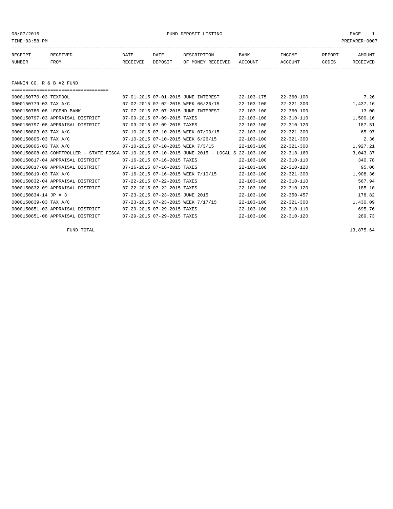08/07/2015 FUND DEPOSIT LISTING PAGE 1

| RECEIPT | <b>RECEIVED</b> | DATE            | DATE    | DESCRIPTION       | <b>BANK</b> | INCOME  | <b>REPORT</b> | AMOUNT          |
|---------|-----------------|-----------------|---------|-------------------|-------------|---------|---------------|-----------------|
| NUMBER  | FROM            | <b>RECEIVED</b> | DEPOSIT | OF MONEY RECEIVED | ACCOUNT     | ACCOUNT | CODES         | <b>RECEIVED</b> |
|         |                 |                 |         |                   |             |         |               |                 |

FANNIN CO. R & B #2 FUND

| 0000150770-03 TEXPOOL            | 07-01-2015 07-01-2015 JUNE INTEREST                                                          | $22 - 103 - 175$ | $22 - 360 - 100$ | 7.26     |
|----------------------------------|----------------------------------------------------------------------------------------------|------------------|------------------|----------|
| 0000150779-03 TAX A/C            | 07-02-2015 07-02-2015 WEEK 06/26/15                                                          | $22 - 103 - 100$ | $22 - 321 - 300$ | 1,437.16 |
| 0000150786-08 LEGEND BANK        | 07-07-2015 07-07-2015 JUNE INTEREST                                                          | $22 - 103 - 100$ | $22 - 360 - 100$ | 13.00    |
| 0000150797-03 APPRAISAL DISTRICT | 07-09-2015 07-09-2015 TAXES                                                                  | $22 - 103 - 100$ | $22 - 310 - 110$ | 1,500.16 |
| 0000150797-08 APPRAISAL DISTRICT | 07-09-2015 07-09-2015 TAXES                                                                  | $22 - 103 - 100$ | $22 - 310 - 120$ | 187.51   |
| 0000150803-03 TAX A/C            | 07-10-2015 07-10-2015 WEEK 07/03/15                                                          | $22 - 103 - 100$ | $22 - 321 - 300$ | 65.97    |
| 0000150805-03 TAX A/C            | 07-10-2015 07-10-2015 WEEK 6/26/15                                                           | $22 - 103 - 100$ | $22 - 321 - 300$ | 2.36     |
| 0000150806-03 TAX A/C            | 07-10-2015 07-10-2015 WEEK 7/3/15                                                            | $22 - 103 - 100$ | $22 - 321 - 300$ | 1,927.21 |
|                                  | 0000150808-03 COMPTROLLER - STATE FISCA 07-10-2015 07-10-2015 JUNE 2015 - LOCAL S 22-103-100 |                  | $22 - 318 - 160$ | 3,043.37 |
| 0000150817-04 APPRAISAL DISTRICT | 07-16-2015 07-16-2015 TAXES                                                                  | $22 - 103 - 100$ | $22 - 310 - 110$ | 340.78   |
| 0000150817-09 APPRAISAL DISTRICT | 07-16-2015 07-16-2015 TAXES                                                                  | $22 - 103 - 100$ | $22 - 310 - 120$ | 95.06    |
| $0000150819 - 03$ TAX A/C        | 07-16-2015 07-16-2015 WEEK 7/10/15                                                           | $22 - 103 - 100$ | $22 - 321 - 300$ | 1,908.36 |
| 0000150832-04 APPRAISAL DISTRICT | 07-22-2015 07-22-2015 TAXES                                                                  | $22 - 103 - 100$ | $22 - 310 - 110$ | 567.94   |
| 0000150832-09 APPRAISAL DISTRICT | 07-22-2015 07-22-2015 TAXES                                                                  | $22 - 103 - 100$ | $22 - 310 - 120$ | 185.10   |
| $0000150834 - 14$ JP # 3         | 07-23-2015 07-23-2015 JUNE 2015                                                              | $22 - 103 - 100$ | $22 - 350 - 457$ | 178.82   |
| 0000150839-03 TAX A/C            | 07-23-2015 07-23-2015 WEEK 7/17/15                                                           | $22 - 103 - 100$ | $22 - 321 - 300$ | 1,430.09 |
| 0000150851-03 APPRAISAL DISTRICT | 07-29-2015 07-29-2015 TAXES                                                                  | $22 - 103 - 100$ | $22 - 310 - 110$ | 695.76   |
| 0000150851-08 APPRAISAL DISTRICT | 07-29-2015 07-29-2015 TAXES                                                                  | $22 - 103 - 100$ | $22 - 310 - 120$ | 289.73   |

FUND TOTAL  $13,875.64$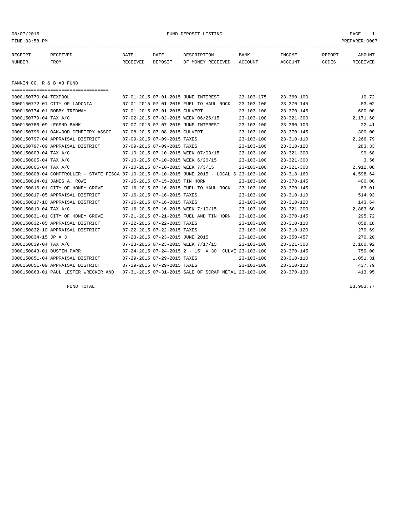#### 08/07/2015 FUND DEPOSIT LISTING PAGE 1

| RECEIPT | RECEIVED | DATE     | DATE    | DESCRIPTION       | <b>BANK</b> | <b>INCOME</b> | REPORT       | <b>AMOUNT</b>   |
|---------|----------|----------|---------|-------------------|-------------|---------------|--------------|-----------------|
| NUMBER  | FROM     | RECEIVED | DEPOSIT | OF MONEY RECEIVED | ACCOUNT     | ACCOUNT       | <b>CODES</b> | <b>RECEIVED</b> |
|         |          |          |         |                   |             |               |              |                 |

FANNIN CO. R & B #3 FUND

| ======================================                                                       |                                 |                                                          |                  |                  |          |
|----------------------------------------------------------------------------------------------|---------------------------------|----------------------------------------------------------|------------------|------------------|----------|
| 0000150770-04 TEXPOOL                                                                        |                                 | 07-01-2015 07-01-2015 JUNE INTEREST                      | $23 - 103 - 175$ | $23 - 360 - 100$ | 10.72    |
| 0000150772-01 CITY OF LADONIA                                                                |                                 | 07-01-2015 07-01-2015 FUEL TO HAUL ROCK                  | $23 - 103 - 100$ | $23 - 370 - 145$ | 83.02    |
| 0000150774-01 BOBBY TREDWAY                                                                  | 07-01-2015 07-01-2015 CULVERT   |                                                          | $23 - 103 - 100$ | $23 - 370 - 145$ | 600.00   |
| 0000150779-04 TAX A/C                                                                        |                                 | 07-02-2015 07-02-2015 WEEK 06/26/15                      | $23 - 103 - 100$ | $23 - 321 - 300$ | 2,171.60 |
| 0000150786-09 LEGEND BANK                                                                    |                                 | 07-07-2015 07-07-2015 JUNE INTEREST                      | $23 - 103 - 100$ | $23 - 360 - 100$ | 22.41    |
| 0000150796-01 OAKWOOD CEMETERY ASSOC.                                                        | 07-08-2015 07-08-2015 CULVERT   |                                                          | $23 - 103 - 100$ | $23 - 370 - 145$ | 300.00   |
| 0000150797-04 APPRAISAL DISTRICT                                                             | 07-09-2015 07-09-2015 TAXES     |                                                          | $23 - 103 - 100$ | $23 - 310 - 110$ | 2,266.79 |
| 0000150797-09 APPRAISAL DISTRICT                                                             | 07-09-2015 07-09-2015 TAXES     |                                                          | $23 - 103 - 100$ | $23 - 310 - 120$ | 283.33   |
| 0000150803-04 TAX A/C                                                                        |                                 | 07-10-2015 07-10-2015 WEEK 07/03/15                      | $23 - 103 - 100$ | $23 - 321 - 300$ | 99.68    |
| 0000150805-04 TAX A/C                                                                        |                                 | 07-10-2015 07-10-2015 WEEK 6/26/15                       | $23 - 103 - 100$ | $23 - 321 - 300$ | 3.56     |
| 0000150806-04 TAX A/C                                                                        |                                 | 07-10-2015 07-10-2015 WEEK 7/3/15                        | $23 - 103 - 100$ | $23 - 321 - 300$ | 2,912.08 |
| 0000150808-04 COMPTROLLER - STATE FISCA 07-10-2015 07-10-2015 JUNE 2015 - LOCAL S 23-103-100 |                                 |                                                          |                  | $23 - 318 - 160$ | 4,598.64 |
| 0000150814-01 JAMES A. ROWE                                                                  | 07-15-2015 07-15-2015 TIN HORN  |                                                          | $23 - 103 - 100$ | $23 - 370 - 145$ | 400.00   |
| 0000150816-01 CITY OF HONEY GROVE                                                            |                                 | 07-16-2015 07-16-2015 FUEL TO HAUL ROCK                  | $23 - 103 - 100$ | $23 - 370 - 145$ | 83.01    |
| 0000150817-05 APPRAISAL DISTRICT                                                             | 07-16-2015 07-16-2015 TAXES     |                                                          | $23 - 103 - 100$ | $23 - 310 - 110$ | 514.93   |
| 0000150817-10 APPRAISAL DISTRICT                                                             | 07-16-2015 07-16-2015 TAXES     |                                                          | $23 - 103 - 100$ | $23 - 310 - 120$ | 143.64   |
| 0000150819-04 TAX A/C                                                                        |                                 | 07-16-2015 07-16-2015 WEEK 7/10/15                       | $23 - 103 - 100$ | $23 - 321 - 300$ | 2,883.60 |
| 0000150831-01 CITY OF HONEY GROVE                                                            |                                 | 07-21-2015 07-21-2015 FUEL AND TIN HORN                  | $23 - 103 - 100$ | $23 - 370 - 145$ | 295.72   |
| 0000150832-05 APPRAISAL DISTRICT                                                             | 07-22-2015 07-22-2015 TAXES     |                                                          | $23 - 103 - 100$ | $23 - 310 - 110$ | 858.18   |
| 0000150832-10 APPRAISAL DISTRICT                                                             | 07-22-2015 07-22-2015 TAXES     |                                                          | $23 - 103 - 100$ | $23 - 310 - 120$ | 279.69   |
| 0000150834-15 JP # 3                                                                         | 07-23-2015 07-23-2015 JUNE 2015 |                                                          | $23 - 103 - 100$ | $23 - 350 - 457$ | 270.20   |
| 0000150839-04 TAX A/C                                                                        |                                 | 07-23-2015 07-23-2015 WEEK 7/17/15                       | $23 - 103 - 100$ | $23 - 321 - 300$ | 2,160.92 |
| 0000150843-01 DUSTIN PARR                                                                    |                                 | $07-24-2015$ $07-24-2015$ 2 - 15" X 30' CULVE 23-103-100 |                  | $23 - 370 - 145$ | 759.00   |
| 0000150851-04 APPRAISAL DISTRICT                                                             | 07-29-2015 07-29-2015 TAXES     |                                                          | $23 - 103 - 100$ | $23 - 310 - 110$ | 1,051.31 |
| 0000150851-09 APPRAISAL DISTRICT                                                             | 07-29-2015 07-29-2015 TAXES     |                                                          | $23 - 103 - 100$ | $23 - 310 - 120$ | 437.79   |
| 0000150863-01 PAUL LESTER WRECKER AND                                                        |                                 | 07-31-2015 07-31-2015 SALE OF SCRAP METAL 23-103-100     |                  | $23 - 370 - 130$ | 413.95   |
|                                                                                              |                                 |                                                          |                  |                  |          |

FUND TOTAL  $23,903.77$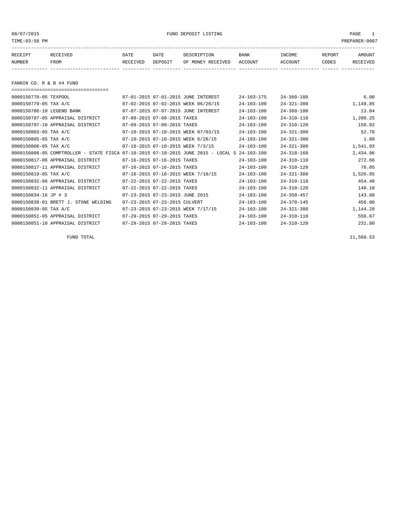08/07/2015 FUND DEPOSIT LISTING PAGE 1

| RECEIPT | RECEIVED | DATE     | DATE    | DESCRIPTION               | <b>BANK</b> | INCOME  | REPORT | AMOUNT   |
|---------|----------|----------|---------|---------------------------|-------------|---------|--------|----------|
| NUMBER  | FROM     | RECEIVED | DEPOSIT | OF MONEY RECEIVED ACCOUNT |             | ACCOUNT | CODES  | RECEIVED |
|         |          |          |         |                           |             |         |        |          |

FANNIN CO. R & B #4 FUND

| ===================================                                                          |                                     |                  |                  |          |
|----------------------------------------------------------------------------------------------|-------------------------------------|------------------|------------------|----------|
|                                                                                              |                                     |                  |                  |          |
| 0000150770-05 TEXPOOL                                                                        | 07-01-2015 07-01-2015 JUNE INTEREST | $24 - 103 - 175$ | $24 - 360 - 100$ | 6.00     |
| 0000150779-05 TAX A/C                                                                        | 07-02-2015 07-02-2015 WEEK 06/26/15 | $24 - 103 - 100$ | $24 - 321 - 300$ | 1,149.85 |
| 0000150786-10 LEGEND BANK                                                                    | 07-07-2015 07-07-2015 JUNE INTEREST | $24 - 103 - 100$ | $24 - 360 - 100$ | 13.04    |
| 0000150797-05 APPRAISAL DISTRICT                                                             | 07-09-2015 07-09-2015 TAXES         | $24 - 103 - 100$ | $24 - 310 - 110$ | 1,200.25 |
| 0000150797-10 APPRAISAL DISTRICT                                                             | 07-09-2015 07-09-2015 TAXES         | $24 - 103 - 100$ | $24 - 310 - 120$ | 150.02   |
| 0000150803-05 TAX A/C                                                                        | 07-10-2015 07-10-2015 WEEK 07/03/15 | $24 - 103 - 100$ | $24 - 321 - 300$ | 52.78    |
| 0000150805-05 TAX A/C                                                                        | 07-10-2015 07-10-2015 WEEK 6/26/15  | $24 - 103 - 100$ | $24 - 321 - 300$ | 1.89     |
| 0000150806-05 TAX A/C                                                                        | 07-10-2015 07-10-2015 WEEK 7/3/15   | $24 - 103 - 100$ | $24 - 321 - 300$ | 1,541.93 |
| 0000150808-05 COMPTROLLER - STATE FISCA 07-10-2015 07-10-2015 JUNE 2015 - LOCAL S 24-103-100 |                                     |                  | $24 - 318 - 160$ | 2,434.96 |
| 0000150817-06 APPRAISAL DISTRICT                                                             | 07-16-2015 07-16-2015 TAXES         | $24 - 103 - 100$ | $24 - 310 - 110$ | 272.66   |
| 0000150817-11 APPRAISAL DISTRICT                                                             | 07-16-2015 07-16-2015 TAXES         | $24 - 103 - 100$ | $24 - 310 - 120$ | 76.05    |
| 0000150819-05 TAX A/C                                                                        | 07-16-2015 07-16-2015 WEEK 7/10/15  | $24 - 103 - 100$ | $24 - 321 - 300$ | 1,526.85 |
| 0000150832-06 APPRAISAL DISTRICT                                                             | 07-22-2015 07-22-2015 TAXES         | $24 - 103 - 100$ | $24 - 310 - 110$ | 454.40   |
| 0000150832-11 APPRAISAL DISTRICT                                                             | 07-22-2015 07-22-2015 TAXES         | $24 - 103 - 100$ | $24 - 310 - 120$ | 148.10   |
| 0000150834-16 JP # 3                                                                         | 07-23-2015 07-23-2015 JUNE 2015     | $24 - 103 - 100$ | $24 - 350 - 457$ | 143.08   |
| 0000150838-01 BRETT J. STONE WELDING                                                         | 07-23-2015 07-23-2015 CULVERT       | $24 - 103 - 100$ | $24 - 370 - 145$ | 456.00   |
| 0000150839-05 TAX A/C                                                                        | 07-23-2015 07-23-2015 WEEK 7/17/15  | $24 - 103 - 100$ | $24 - 321 - 300$ | 1,144.20 |
| 0000150851-05 APPRAISAL DISTRICT                                                             | 07-29-2015 07-29-2015 TAXES         | $24 - 103 - 100$ | $24 - 310 - 110$ | 556.67   |
| 0000150851-10 APPRAISAL DISTRICT                                                             | 07-29-2015 07-29-2015 TAXES         | $24 - 103 - 100$ | $24 - 310 - 120$ | 231.80   |

 $FUND$  total  $11,560.53$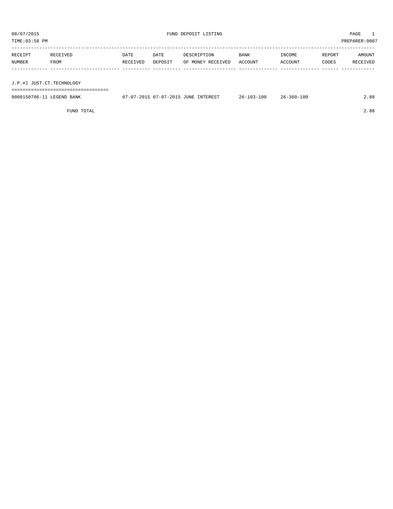TIME:03:58 PM PREPARER:0007

| RECEIPT                   | RECEIVED | DATE     | DATE    | DESCRIPTION       | BANK    | INCOME  | REPORT | AMOUNT   |
|---------------------------|----------|----------|---------|-------------------|---------|---------|--------|----------|
| NUMBER                    | FROM     | RECEIVED | DEPOSIT | OF MONEY RECEIVED | ACCOUNT | ACCOUNT | CODES  | RECEIVED |
|                           |          |          |         |                   |         |         |        |          |
|                           |          |          |         |                   |         |         |        |          |
| J.P.#1 JUST.CT.TECHNOLOGY |          |          |         |                   |         |         |        |          |

===================================

| 0000150786-11 LEGEND BANK | 07-07-2015 07-07-2015 JUNE INTEREST | $26 - 103 - 100$ | $26 - 360 - 100$ | 2.88 |
|---------------------------|-------------------------------------|------------------|------------------|------|
|                           |                                     |                  |                  |      |

FUND TOTAL 2.88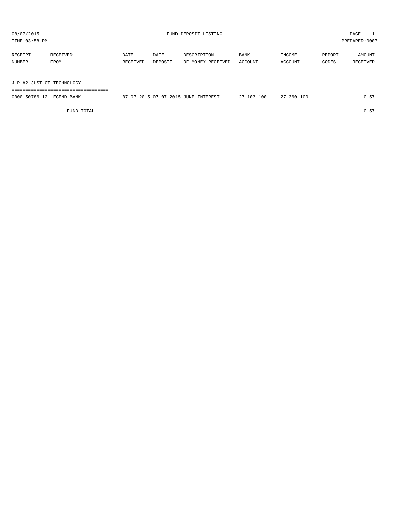TIME:03:58 PM PREPARER:0007

| RECEIPT                   | RECEIVED | DATE     | DATE    | DESCRIPTION       | BANK    | INCOME  | REPORT | AMOUNT   |
|---------------------------|----------|----------|---------|-------------------|---------|---------|--------|----------|
| NUMBER                    | FROM     | RECEIVED | DEPOSIT | OF MONEY RECEIVED | ACCOUNT | ACCOUNT | CODES  | RECEIVED |
|                           |          |          |         |                   |         |         |        |          |
|                           |          |          |         |                   |         |         |        |          |
| J.P.#2 JUST.CT.TECHNOLOGY |          |          |         |                   |         |         |        |          |

===================================

| 0000150786-12 LEGEND BANK | 07-07-2015 07-07-2015 JUNE INTEREST | $27 - 103 - 100$ | 27-360-100 | 0.57 |
|---------------------------|-------------------------------------|------------------|------------|------|
|                           |                                     |                  |            |      |

FUND TOTAL  $0.57$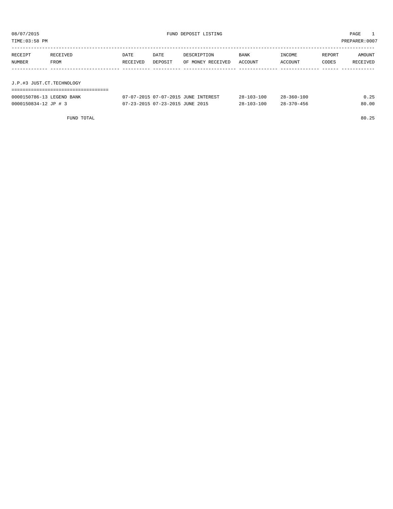| TIME:03:58 PM             |          |          |         |                   |             |         |        | PREPARER:0007 |
|---------------------------|----------|----------|---------|-------------------|-------------|---------|--------|---------------|
| RECEIPT                   | RECEIVED | DATE     | DATE    | DESCRIPTION       | <b>BANK</b> | INCOME  | REPORT | AMOUNT        |
| NUMBER                    | FROM     | RECEIVED | DEPOSIT | OF MONEY RECEIVED | ACCOUNT     | ACCOUNT | CODES  | RECEIVED      |
| J.P.#3 JUST.CT.TECHNOLOGY |          |          |         |                   |             |         |        |               |
|                           |          |          |         |                   |             |         |        |               |

| 0000150786-13 LEGEND BANK | 07-07-2015 07-07-2015 JUNE INTEREST | $28 - 103 - 100$ | $28 - 360 - 100$ | 0.25  |
|---------------------------|-------------------------------------|------------------|------------------|-------|
| 0000150834-12 JP # 3      | 07-23-2015 07-23-2015 JUNE 2015     | $28 - 103 - 100$ | $28 - 370 - 456$ | 80.00 |

FUND TOTAL 80.25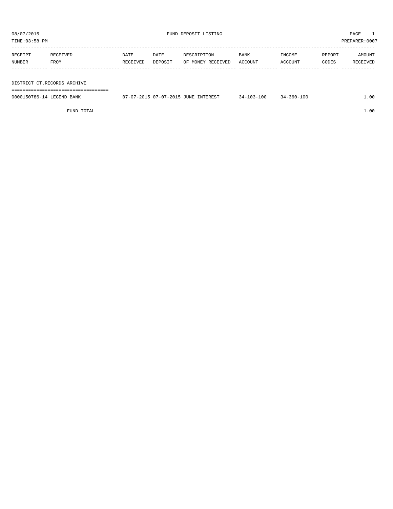| RECEIPT | RECEIVED    | DATE     | DATE    | DESCRIPTION       | <b>BANK</b> | INCOME  | REPORT | AMOUNT   |
|---------|-------------|----------|---------|-------------------|-------------|---------|--------|----------|
| NUMBER  | <b>FROM</b> | RECEIVED | DEPOSIT | OF MONEY RECEIVED | ACCOUNT     | ACCOUNT | CODES  | RECEIVED |
|         |             |          |         |                   |             |         |        |          |

DISTRICT CT.RECORDS ARCHIVE

===================================

| 0000150786-1<br><b>LEGENI</b><br>BANK | : 07-07-2015<br>$-2015$<br><b>JUNE</b><br><b>TNTTPPFCT</b><br>$\sim$ | $-3 - 100$<br>$24-$ | $-360 - 100$<br>≺ 4. - | 1.00 |
|---------------------------------------|----------------------------------------------------------------------|---------------------|------------------------|------|
|                                       |                                                                      |                     |                        |      |

FUND TOTAL 1.00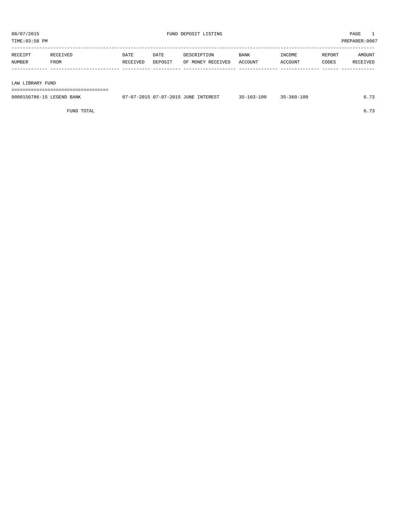TIME:03:58 PM PREPARER:0007

| RECEIPT | RECEIVED | DATE     | DATE    | DESCRIPTION               | <b>BANK</b> | INCOME  | REPORT | AMOUNT   |
|---------|----------|----------|---------|---------------------------|-------------|---------|--------|----------|
| NUMBER  | FROM     | RECEIVED | DEPOSIT | OF MONEY RECEIVED ACCOUNT |             | ACCOUNT | CODES  | RECEIVED |
|         |          |          |         |                           |             |         |        |          |

#### LAW LIBRARY FUND

===================================

| 0000150786-15 LEGEND BANK | 07-07-2015 07-07-2015 JUNE INTEREST | $35 - 103 - 100$ | $35 - 360 - 100$ | 5.73 |
|---------------------------|-------------------------------------|------------------|------------------|------|
|                           |                                     |                  |                  |      |

FUND TOTAL  $6.73$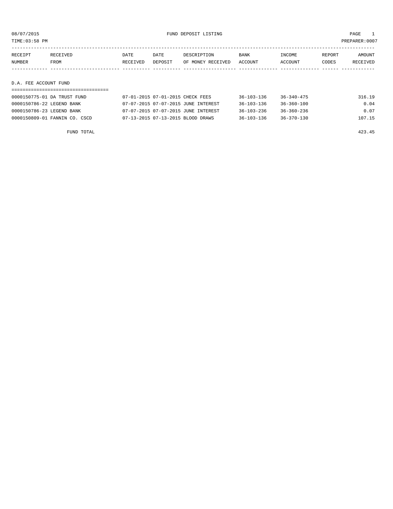TIME:03:58 PM PREPARER:0007

| RECEIPT | RECEIVED    | DATE     | DATE    | DESCRIPTION       | <b>BANK</b> | INCOME  | REPORT | AMOUNT   |
|---------|-------------|----------|---------|-------------------|-------------|---------|--------|----------|
| NUMBER  | <b>FROM</b> | RECEIVED | DEPOSIT | OF MONEY RECEIVED | ACCOUNT     | ACCOUNT | CODES  | RECEIVED |
|         |             |          |         |                   |             |         |        |          |

#### D.A. FEE ACCOUNT FUND

| 0000150775-01 DA TRUST FUND   | 07-01-2015 07-01-2015 CHECK FEES    | 36-103-136       | $36 - 340 - 475$ | 316.19 |
|-------------------------------|-------------------------------------|------------------|------------------|--------|
| 0000150786-22 LEGEND BANK     | 07-07-2015 07-07-2015 JUNE INTEREST | $36 - 103 - 136$ | $36 - 360 - 100$ | 0.04   |
| 0000150786-23 LEGEND BANK     | 07-07-2015 07-07-2015 JUNE INTEREST | $36 - 103 - 236$ | $36 - 360 - 236$ | 0.07   |
| 0000150809-01 FANNIN CO. CSCD | 07-13-2015 07-13-2015 BLOOD DRAWS   | $36 - 103 - 136$ | $36 - 370 - 130$ | 107.15 |

FUND TOTAL 423.45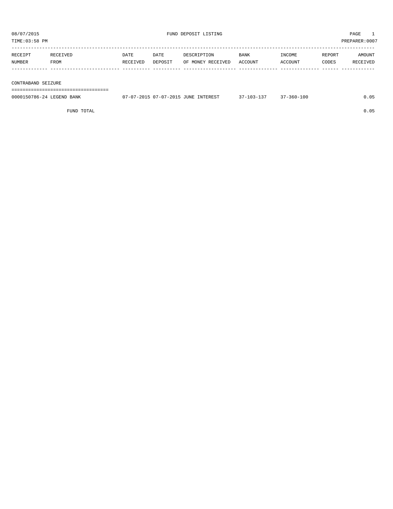TIME:03:58 PM PREPARER:0007 ----------------------------------------------------------------------------------------------------------------------------------- RECEIPT RECEIVED DATE DATE DESCRIPTION BANK INCOME REPORT AMOUNT

CONT

|  |  |  | 000150786-24 LEGEND BANK |  |
|--|--|--|--------------------------|--|
|  |  |  |                          |  |

| RBUBIFI                   | RBUBIVB <i>D</i> | <b>DAIL</b> | <b>DAID</b> | DESCRIFIIUN                         | DAIN N           | <b>TIACOME</b>   | REPURI | <b>AMOUNT</b> |  |
|---------------------------|------------------|-------------|-------------|-------------------------------------|------------------|------------------|--------|---------------|--|
| NUMBER                    | FROM             | RECEIVED    | DEPOSIT     | OF MONEY RECEIVED                   | ACCOUNT          | ACCOUNT          | CODES  | RECEIVED      |  |
|                           |                  |             |             |                                     |                  |                  |        |               |  |
|                           |                  |             |             |                                     |                  |                  |        |               |  |
|                           |                  |             |             |                                     |                  |                  |        |               |  |
| CONTRABAND SEIZURE        |                  |             |             |                                     |                  |                  |        |               |  |
|                           |                  |             |             |                                     |                  |                  |        |               |  |
| 0000150786-24 LEGEND BANK |                  |             |             | 07-07-2015 07-07-2015 JUNE INTEREST | $37 - 103 - 137$ | $37 - 360 - 100$ |        | 0.05          |  |
|                           |                  |             |             |                                     |                  |                  |        |               |  |
|                           | FUND TOTAL       |             |             |                                     |                  |                  |        | 0.05          |  |
|                           |                  |             |             |                                     |                  |                  |        |               |  |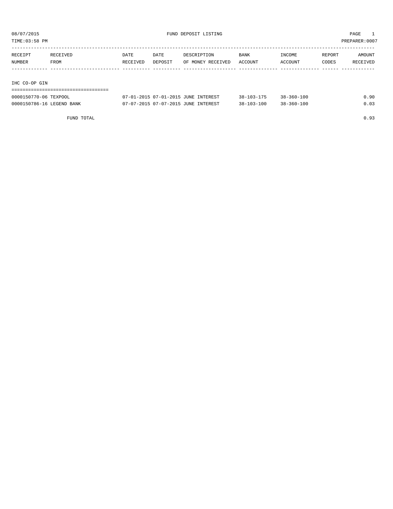TIME:03:58 PM PREPARER:0007

| RECEIPT       | RECEIVED | DATE     | DATE    | DESCRIPTION       | <b>BANK</b> | INCOME  | REPORT | AMOUNT   |
|---------------|----------|----------|---------|-------------------|-------------|---------|--------|----------|
| NUMBER        | FROM     | RECEIVED | DEPOSIT | OF MONEY RECEIVED | ACCOUNT     | ACCOUNT | CODES  | RECEIVED |
|               |          |          |         |                   |             |         |        |          |
|               |          |          |         |                   |             |         |        |          |
| IHC CO-OP GIN |          |          |         |                   |             |         |        |          |

| ------------------------------------- |                                     |                  |            |      |
|---------------------------------------|-------------------------------------|------------------|------------|------|
| 0000150770-06 TEXPOOL                 | 07-01-2015 07-01-2015 JUNE INTEREST | $38 - 103 - 175$ | 38-360-100 | 0.90 |
| 0000150786-16 LEGEND BANK             | 07-07-2015 07-07-2015 JUNE INTEREST | $38 - 103 - 100$ | 38-360-100 | 0.03 |

FUND TOTAL 0.93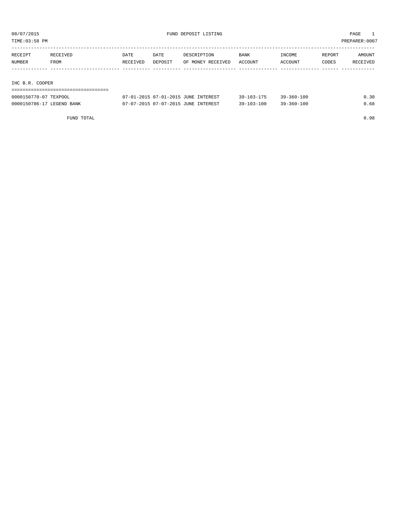TIME:03:58 PM PREPARER:0007

| RECEIPT | RECEIVED        | DATE     | DATE    | DESCRIPTION       | BANK    | INCOME  | REPORT | AMOUNT   |  |  |  |
|---------|-----------------|----------|---------|-------------------|---------|---------|--------|----------|--|--|--|
| NUMBER  | FROM            | RECEIVED | DEPOSIT | OF MONEY RECEIVED | ACCOUNT | ACCOUNT | CODES  | RECEIVED |  |  |  |
|         |                 |          |         |                   |         |         |        |          |  |  |  |
|         |                 |          |         |                   |         |         |        |          |  |  |  |
|         | IHC B.R. COOPER |          |         |                   |         |         |        |          |  |  |  |
|         |                 |          |         |                   |         |         |        |          |  |  |  |

| ------------------------------------- |                                     |                  |                  |      |
|---------------------------------------|-------------------------------------|------------------|------------------|------|
| 0000150770-07 TEXPOOL                 | 07-01-2015 07-01-2015 JUNE INTEREST | $39 - 103 - 175$ | $39 - 360 - 100$ | 0.30 |
| 0000150786-17 LEGEND BANK             | 07-07-2015 07-07-2015 JUNE INTEREST | $39 - 103 - 100$ | $39 - 360 - 100$ | 0.68 |

FUND TOTAL 0.98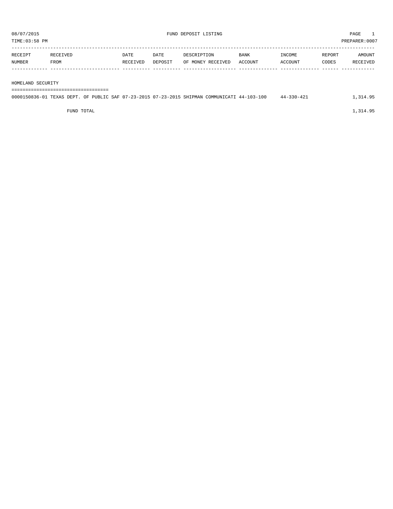| RECEIPT | RECEIVED | DATE     | DATE    | DESCRIPTION       | <b>BANK</b>    | INCOME  | REPORT | AMOUNT   |
|---------|----------|----------|---------|-------------------|----------------|---------|--------|----------|
| NUMBER  | FROM     | RECEIVED | DEPOSIT | OF MONEY RECEIVED | <b>ACCOUNT</b> | ACCOUNT | CODES  | RECEIVED |
|         |          |          |         |                   |                |         |        |          |

HOMELAND SECURITY

===================================

| 0000150836-01 TEXAS DEPT. OF PUBLIC SAF 07-23-2015 07-23-2015 SHIPMAN COMMUNICATI 44-103-100 |  |  |  | $44 - 330 - 421$ | 1,314.95 |
|----------------------------------------------------------------------------------------------|--|--|--|------------------|----------|
|                                                                                              |  |  |  |                  |          |

FUND TOTAL  $1,314.95$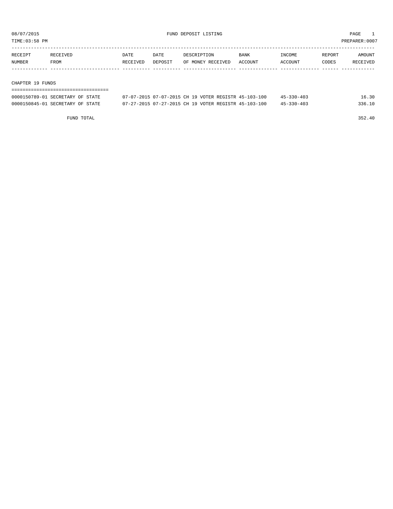TIME:03:58 PM PREPARER:0007

| RECEIPT | <b>RECEIVED</b> | DATE     | DATE    | DESCRIPTION       | <b>BANK</b>    | <b>INCOME</b> | REPORT | AMOUNT          |
|---------|-----------------|----------|---------|-------------------|----------------|---------------|--------|-----------------|
| NUMBER  | FROM            | RECEIVED | DEPOSIT | OF MONEY RECEIVED | <b>ACCOUNT</b> | ACCOUNT       | CODES  | <b>RECEIVED</b> |
|         |                 |          |         |                   |                |               |        |                 |

#### CHAPTER 19 FUNDS

| --------------------------       |                                                      |                            |  |  |  |  |  |  |  |
|----------------------------------|------------------------------------------------------|----------------------------|--|--|--|--|--|--|--|
| 0000150789-01 SECRETARY OF STATE | 07-07-2015 07-07-2015 CH 19 VOTER REGISTR 45-103-100 | 16.30<br>$45 - 330 - 403$  |  |  |  |  |  |  |  |
| 0000150845-01 SECRETARY OF STATE | 07-27-2015 07-27-2015 CH 19 VOTER REGISTR 45-103-100 | 336.10<br>$45 - 330 - 403$ |  |  |  |  |  |  |  |

FUND TOTAL 352.40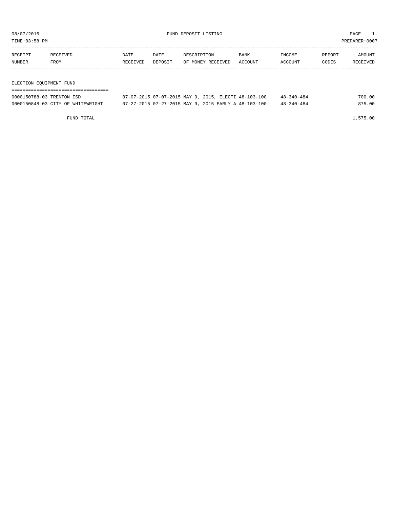TIME:03:58 PM PREPARER:0007

| RECEIPT | RECEIVED | DATE     | DATE    | DESCRIPTION       | <b>BANK</b> | <b>TNCOME</b> | <b>REPORT</b> | AMOUNT   |
|---------|----------|----------|---------|-------------------|-------------|---------------|---------------|----------|
| NUMBER  | FROM     | RECEIVED | DEPOSIT | OF MONEY RECEIVED | ACCOUNT     | ACCOUNT       | <b>CODES</b>  | RECEIVED |
|         |          |          |         |                   |             |               |               |          |
|         |          |          |         |                   |             |               |               |          |

#### ELECTION EQUIPMENT FUND

| 0000150788-03 TRENTON ISD         | 07-07-2015 07-07-2015 MAY 9, 2015, ELECTI 48-103-100 | $48 - 340 - 484$ | 700.00 |
|-----------------------------------|------------------------------------------------------|------------------|--------|
| 0000150848-03 CITY OF WHITEWRIGHT | 07-27-2015 07-27-2015 MAY 9, 2015 EARLY A 48-103-100 | $48 - 340 - 484$ | 875.00 |

FUND TOTAL 1,575.00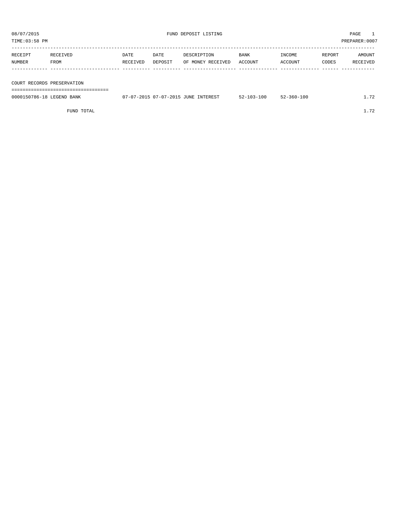TIME:03:58 PM PREPARER:0007

| RECEIPT                    | RECEIVED | DATE     | DATE    | DESCRIPTION       | BANK    | INCOME  | REPORT | AMOUNT   |
|----------------------------|----------|----------|---------|-------------------|---------|---------|--------|----------|
| <b>NUMBER</b>              | FROM     | RECEIVED | DEPOSIT | OF MONEY RECEIVED | ACCOUNT | ACCOUNT | CODES  | RECEIVED |
|                            |          |          |         |                   |         |         |        |          |
|                            |          |          |         |                   |         |         |        |          |
|                            |          |          |         |                   |         |         |        |          |
| COURT RECORDS PRESERVATION |          |          |         |                   |         |         |        |          |

===================================

| 0000150786-18 LEGEND BANK | 07-07-2015 07-07-2015 JUNE INTEREST | $52 - 103 - 100$ | $52 - 360 - 100$ | 70 |
|---------------------------|-------------------------------------|------------------|------------------|----|
|                           |                                     |                  |                  |    |

FUND TOTAL  $1.72$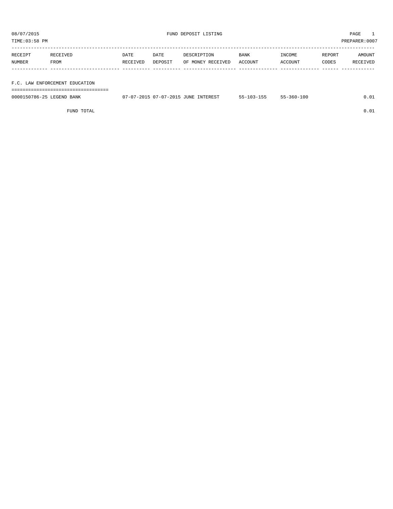TIME:03:58 PM PREPARER:0007

| RECEIPT | RECEIVED | DATE     | DATE    | DESCRIPTION       | <b>BANK</b> | INCOME  | REPORT | AMOUNT   |
|---------|----------|----------|---------|-------------------|-------------|---------|--------|----------|
| NUMBER  | FROM     | RECEIVED | DEPOSIT | OF MONEY RECEIVED | ACCOUNT     | ACCOUNT | CODES  | RECEIVED |
|         |          |          |         |                   |             |         |        |          |
|         |          |          |         |                   |             |         |        |          |

F.C. LAW ENFORCEMENT EDUCATION

===================================

| 0000150786-25 LEGEND BANK | 07-07-2015 07-07-2015 JUNE INTEREST | $55 - 103 - 155$ | 55-360-100 | 0.01 |
|---------------------------|-------------------------------------|------------------|------------|------|
|                           |                                     |                  |            |      |

FUND TOTAL  $0.01$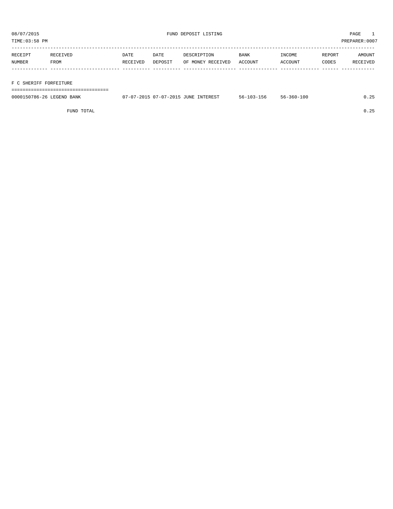TIME:03:58 PM PREPARER:0007

| RECEIPT       | RECEIVED | DATE     | DATE    | DESCRIPTION       | <b>BANK</b> | INCOME  | REPORT | AMOUNT   |
|---------------|----------|----------|---------|-------------------|-------------|---------|--------|----------|
| <b>NUMBER</b> | FROM     | RECEIVED | DEPOSIT | OF MONEY RECEIVED | ACCOUNT     | ACCOUNT | CODES  | RECEIVED |
|               |          |          |         |                   |             |         |        |          |
|               |          |          |         |                   |             |         |        |          |

#### F C SHERIFF FORFEITURE

===================================

| 0000150786-26 LEGEND BANK | 07-07-2015 07-07-2015 JUNE INTEREST | $56 - 103 - 156$ | $56 - 360 - 100$ | .25 |
|---------------------------|-------------------------------------|------------------|------------------|-----|
|                           |                                     |                  |                  |     |

FUND TOTAL 0.25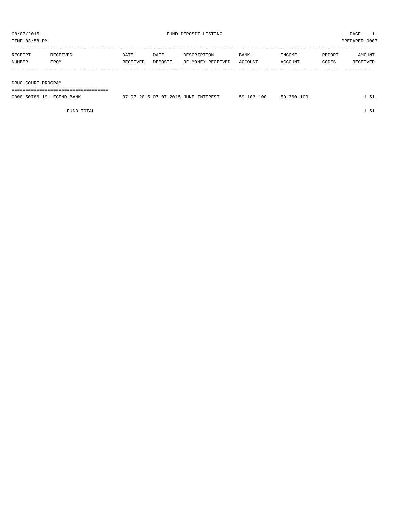| RECEIPT | RECEIVED    | DATE     | DATE    | DESCRIPTION       | <b>BANK</b> | INCOME  | REPORT | AMOUNT   |
|---------|-------------|----------|---------|-------------------|-------------|---------|--------|----------|
| NUMBER  | <b>FROM</b> | RECEIVED | DEPOSIT | OF MONEY RECEIVED | ACCOUNT     | ACCOUNT | CODES  | RECEIVED |
|         |             |          |         |                   |             |         |        |          |
|         |             |          |         |                   |             |         |        |          |

DRUG COURT PROGRAM

===================================

| 0000150786-19 LEGEND BANK | 07-07-2015 07-07-2015 JUNE INTEREST | $59 - 103 - 100$ | 59-360-100 | . |
|---------------------------|-------------------------------------|------------------|------------|---|
|                           |                                     |                  |            |   |

FUND TOTAL  $1.51$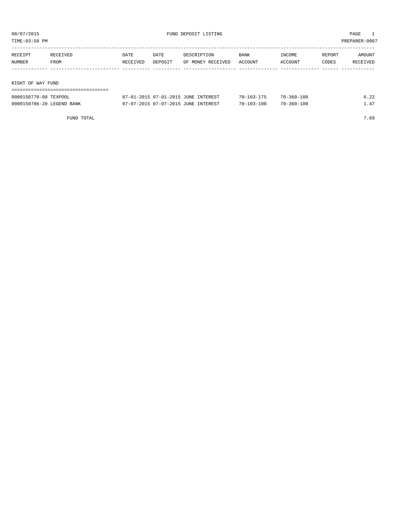TIME:03:58 PM PREPARER:0007

| RECEIPT           | RECEIVED | DATE     | DATE    | DESCRIPTION       | BANK    | INCOME  | REPORT | AMOUNT   |
|-------------------|----------|----------|---------|-------------------|---------|---------|--------|----------|
| NUMBER            | FROM     | RECEIVED | DEPOSIT | OF MONEY RECEIVED | ACCOUNT | ACCOUNT | CODES  | RECEIVED |
|                   |          |          |         |                   |         |         |        |          |
|                   |          |          |         |                   |         |         |        |          |
| RIGHT OF WAY FUND |          |          |         |                   |         |         |        |          |
|                   |          |          |         |                   |         |         |        |          |

| 0000150770-08 TEXPOOL     | 07-01-2015 07-01-2015 JUNE INTEREST | $70 - 103 - 175$ | 70-360-100       | 6.22 |
|---------------------------|-------------------------------------|------------------|------------------|------|
| 0000150786-20 LEGEND BANK | 07-07-2015 07-07-2015 JUNE INTEREST | $70 - 103 - 100$ | $70 - 360 - 100$ | 1.47 |

FUND TOTAL  $7.69$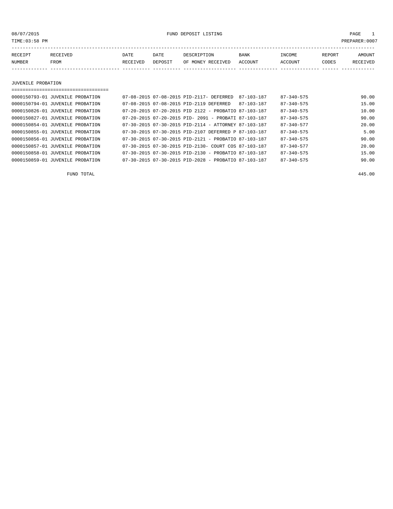08/07/2015 FUND DEPOSIT LISTING PAGE 1

| RECEIPT | RECEIVED | DATE     | DATE    | DESCRIPTION       | <b>BANK</b> | INCOME  | REPORT | AMOUNT   |
|---------|----------|----------|---------|-------------------|-------------|---------|--------|----------|
| NUMBER  | FROM     | RECEIVED | DEPOSIT | OF MONEY RECEIVED | ACCOUNT     | ACCOUNT | CODES  | RECEIVED |
|         |          |          |         |                   |             |         |        |          |

JUVENILE PROBATION

| ======================           |                                                          |            |                  |       |
|----------------------------------|----------------------------------------------------------|------------|------------------|-------|
| 0000150793-01 JUVENILE PROBATION | 07-08-2015 07-08-2015 PID-2117- DEFERRED                 | 87-103-187 | $87 - 340 - 575$ | 90.00 |
| 0000150794-01 JUVENILE PROBATION | 07-08-2015 07-08-2015 PID-2119 DEFERRED                  | 87-103-187 | $87 - 340 - 575$ | 15.00 |
| 0000150826-01 JUVENILE PROBATION | 07-20-2015 07-20-2015 PID 2122 - PROBATIO 87-103-187     |            | $87 - 340 - 575$ | 10.00 |
| 0000150827-01 JUVENILE PROBATION | $07-20-2015$ $07-20-2015$ PID- 2091 - PROBATI 87-103-187 |            | $87 - 340 - 575$ | 90.00 |
| 0000150854-01 JUVENILE PROBATION | $07-30-2015$ $07-30-2015$ PID-2114 - ATTORNEY 87-103-187 |            | $87 - 340 - 577$ | 20.00 |
| 0000150855-01 JUVENILE PROBATION | 07-30-2015 07-30-2015 PID-2107 DEFERRED P 87-103-187     |            | $87 - 340 - 575$ | 5.00  |
| 0000150856-01 JUVENILE PROBATION | 07-30-2015 07-30-2015 PID-2121 - PROBATIO 87-103-187     |            | $87 - 340 - 575$ | 90.00 |
| 0000150857-01 JUVENILE PROBATION | 07-30-2015 07-30-2015 PID-2130- COURT COS 87-103-187     |            | $87 - 340 - 577$ | 20.00 |
| 0000150858-01 JUVENILE PROBATION | 07-30-2015 07-30-2015 PID-2130 - PROBATIO 87-103-187     |            | $87 - 340 - 575$ | 15.00 |
| 0000150859-01 JUVENILE PROBATION | 07-30-2015 07-30-2015 PID-2028 - PROBATIO 87-103-187     |            | $87 - 340 - 575$ | 90.00 |

FUND TOTAL 445.00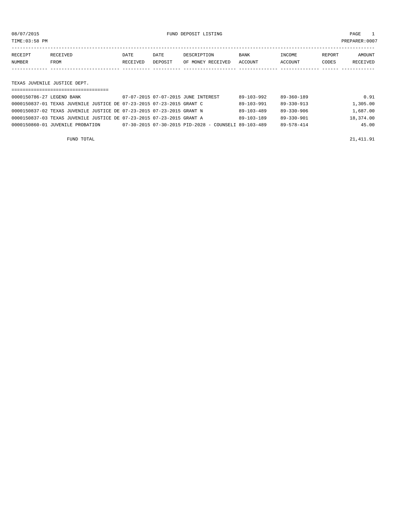TIME:03:58 PM PREPARER:0007

| RECEIPT       | <b>RECEIVED</b> | DATE     | DATE    | DESCRIPTION       | <b>BANK</b> | <b>TNCOME</b> | REPORT | AMOUNT          |
|---------------|-----------------|----------|---------|-------------------|-------------|---------------|--------|-----------------|
| <b>NUMBER</b> | FROM            | RECEIVED | DEPOSIT | OF MONEY RECEIVED | ACCOUNT     | ACCOUNT       | CODES  | <b>RECEIVED</b> |
|               |                 |          |         |                   |             |               |        |                 |

TEXAS JUVENILE JUSTICE DEPT.

| 0000150786-27 LEGEND BANK                                             | 07-07-2015 07-07-2015 JUNE INTEREST                        | $89 - 103 - 992$ | 89-360-189       | 0.91      |
|-----------------------------------------------------------------------|------------------------------------------------------------|------------------|------------------|-----------|
| 0000150837-01 TEXAS JUVENILE JUSTICE DE 07-23-2015 07-23-2015 GRANT C |                                                            | $89 - 103 - 991$ | $89 - 330 - 913$ | 1,305.00  |
| 0000150837-02 TEXAS JUVENILE JUSTICE DE 07-23-2015 07-23-2015 GRANT N |                                                            | $89 - 103 - 489$ | $89 - 330 - 906$ | 1,687.00  |
| 0000150837-03 TEXAS JUVENILE JUSTICE DE 07-23-2015 07-23-2015 GRANT A |                                                            | $89 - 103 - 189$ | $89 - 330 - 901$ | 18,374.00 |
| 0000150860-01 JUVENILE PROBATION                                      | $07-30-2015$ $07-30-2015$ $PID-2028$ - COUNSELI 89-103-489 |                  | $89 - 578 - 414$ | 45.00     |
|                                                                       |                                                            |                  |                  |           |

FUND TOTAL 21,411.91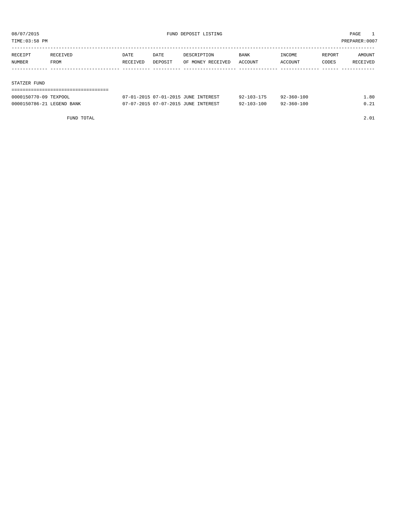TIME:03:58 PM PREPARER:0007

| RECEIPT | RECEIVED | DATE     | DATE    | DESCRIPTION       | BANK    | INCOME  | REPORT | AMOUNT   |
|---------|----------|----------|---------|-------------------|---------|---------|--------|----------|
| NUMBER  | FROM     | RECEIVED | DEPOSIT | OF MONEY RECEIVED | ACCOUNT | ACCOUNT | CODES  | RECEIVED |
|         |          |          |         |                   |         |         |        |          |
|         |          |          |         |                   |         |         |        |          |

#### STATZER FUND

| 0000150770-09 TEXPOOL     | 07-01-2015 07-01-2015 JUNE INTEREST | $92 - 103 - 175$ | $92 - 360 - 100$ | .80  |
|---------------------------|-------------------------------------|------------------|------------------|------|
| 0000150786-21 LEGEND BANK | 07-07-2015 07-07-2015 JUNE INTEREST | $92 - 103 - 100$ | 92-360-100       | 0 21 |

FUND TOTAL 2.01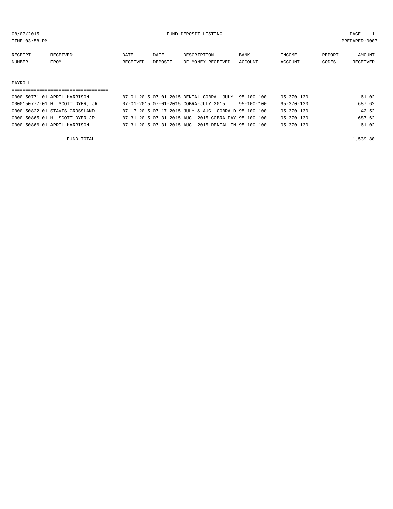08/07/2015 PAGE 1

TIME:03:58 PM PREPARER:0007

| RECEIPT | <b>RECEIVED</b> | DATE     | DATE    | DESCRIPTION       | <b>BANK</b> | INCOME         | REPORT | AMOUNT          |
|---------|-----------------|----------|---------|-------------------|-------------|----------------|--------|-----------------|
| NUMBER  | FROM            | RECEIVED | DEPOSIT | OF MONEY RECEIVED | ACCOUNT     | <b>ACCOUNT</b> | CODES  | <b>RECEIVED</b> |
|         |                 |          |         |                   |             |                |        |                 |

#### PAYROLL

### =================================== 0000150771-01 APRIL HARRISON 07-01-2015 07-01-2015 DENTAL COBRA -JULY 95-100-100 95-370-130 61.02 0000150777-01 H. SCOTT DYER, JR. 07-01-2015 07-01-2015 COBRA-JULY 2015 95-100-100 95-370-130 687.62 0000150822-01 STAVIS CROSSLAND 07-17-2015 07-17-2015 JULY & AUG. COBRA D 95-100-100 95-370-130 42.52 0000150865-01 H. SCOTT DYER JR. 07-31-2015 07-31-2015 AUG. 2015 COBRA PAY 95-100-100 95-370-130 687.62 0000150866-01 APRIL HARRISON 07-31-2015 07-31-2015 AUG. 2015 DENTAL IN 95-100-100 95-370-130 61.02

FUND TOTAL  $1,539.80$